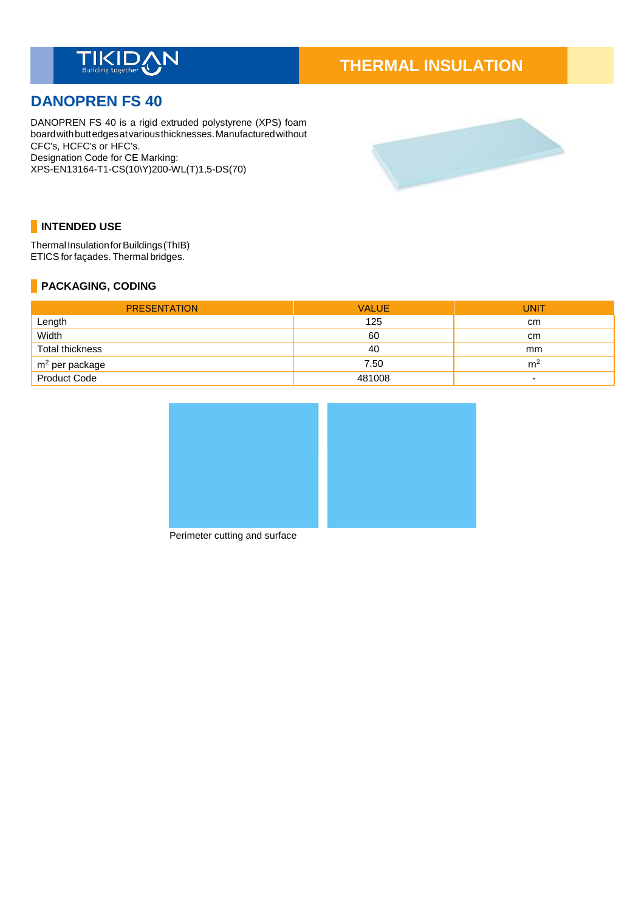

# **THERMAL INSULATION**

# **DANOPREN FS 40**

DANOPREN FS 40 is a rigid extruded polystyrene (XPS) foam boardwithbuttedgesatvariousthicknesses.Manufacturedwithout CFC's, HCFC's or HFC's. Designation Code for CE Marking: XPS-EN13164-T1-CS(10\Y)200-WL(T)1,5-DS(70)



# **INTENDED USE**

Thermal Insulation for Buildings (ThIB) ETICS for façades. Thermal bridges.

# **PACKAGING, CODING**

| <b>PRESENTATION</b>                        | <b>VALUE</b> | <b>UNIT</b>              |
|--------------------------------------------|--------------|--------------------------|
| Length                                     | 125          | cm                       |
| Width                                      | 60           | cm                       |
| Total thickness                            | 40           | mm                       |
| m <sup>2</sup> per package<br>Product Code | 7.50         | m <sup>2</sup>           |
|                                            | 481008       | $\overline{\phantom{0}}$ |



Perimeter cutting and surface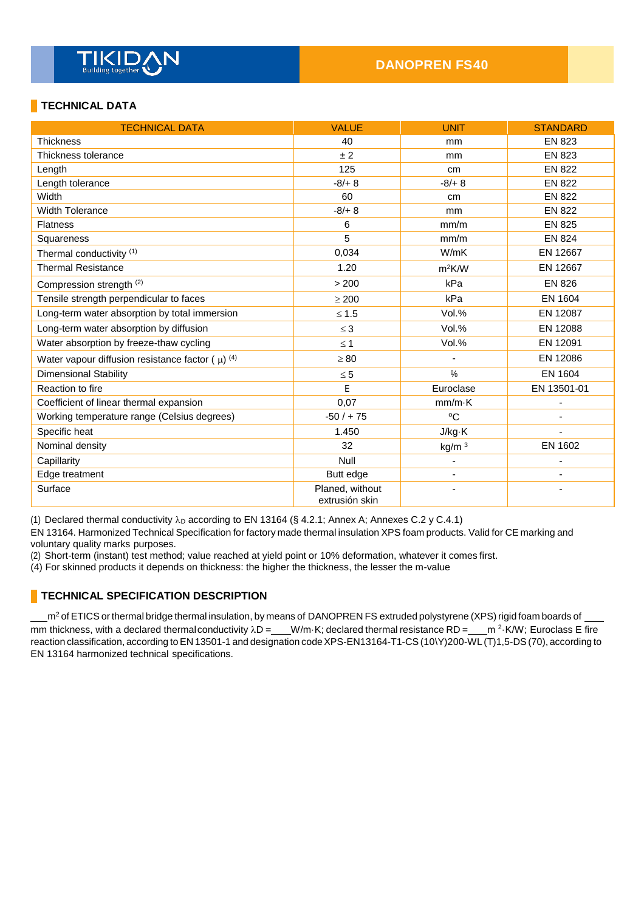# **TECHNICAL DATA**

| <b>TECHNICAL DATA</b>                                             | <b>VALUE</b>                      | <b>UNIT</b>       | <b>STANDARD</b> |
|-------------------------------------------------------------------|-----------------------------------|-------------------|-----------------|
| <b>Thickness</b>                                                  | 40                                | mm                | <b>EN 823</b>   |
| Thickness tolerance                                               | ± 2                               | mm                | <b>EN 823</b>   |
| Length                                                            | 125                               | cm                | <b>EN 822</b>   |
| Length tolerance                                                  | $-8/+8$                           | $-8/+8$           | <b>EN 822</b>   |
| Width                                                             | 60                                | cm                | <b>EN 822</b>   |
| <b>Width Tolerance</b>                                            | $-8/+8$                           | <sub>mm</sub>     | <b>EN 822</b>   |
| <b>Flatness</b>                                                   | 6                                 | mm/m              | <b>EN 825</b>   |
| Squareness                                                        | 5                                 | mm/m              | <b>EN 824</b>   |
| Thermal conductivity (1)                                          | 0,034                             | W/mK              | EN 12667        |
| <b>Thermal Resistance</b>                                         | 1.20                              | $m^2$ K/W         | EN 12667        |
| Compression strength (2)                                          | > 200                             | kPa               | <b>EN 826</b>   |
| Tensile strength perpendicular to faces                           | $\geq 200$                        | kPa               | <b>EN 1604</b>  |
| Long-term water absorption by total immersion                     | $≤ 1.5$                           | Vol.%             | EN 12087        |
| Long-term water absorption by diffusion                           | $\leq$ 3                          | Vol.%             | EN 12088        |
| Water absorption by freeze-thaw cycling                           | $\leq 1$                          | Vol.%             | EN 12091        |
| Water vapour diffusion resistance factor ( $\mu$ ) <sup>(4)</sup> | $\geq 80$                         |                   | EN 12086        |
| Dimensional Stability                                             | $\leq 5$                          | $\%$              | <b>EN 1604</b>  |
| Reaction to fire                                                  | E                                 | Euroclase         | EN 13501-01     |
| Coefficient of linear thermal expansion                           | 0,07                              | $mm/m\cdot K$     |                 |
| Working temperature range (Celsius degrees)                       | $-50/ + 75$                       | $^{\circ}C$       |                 |
| Specific heat                                                     | 1.450                             | J/kg·K            |                 |
| Nominal density                                                   | 32                                | kg/m <sup>3</sup> | EN 1602         |
| Capillarity                                                       | Null                              | ä,                |                 |
| Edge treatment                                                    | Butt edge                         | $\blacksquare$    |                 |
| Surface                                                           | Planed, without<br>extrusión skin |                   |                 |

(1) Declared thermal conductivity  $\lambda_D$  according to EN 13164 (§ 4.2.1; Annex A; Annexes C.2 y C.4.1)

EN 13164. Harmonized Technical Specification for factory made thermal insulation XPS foam products. Valid for CE marking and voluntary quality marks purposes.

(2) Short-term (instant) test method; value reached at yield point or 10% deformation, whatever it comes first.

(4) For skinned products it depends on thickness: the higher the thickness, the lesser the m-value

## **TECHNICAL SPECIFICATION DESCRIPTION**

m<sup>2</sup> of ETICS or thermal bridge thermal insulation, by means of DANOPREN FS extruded polystyrene (XPS) rigid foam boards of mm thickness, with a declared thermal conductivity  $\lambda D = \_\_W/m\cdot K$ ; declared thermal resistance RD =  $\_\_W^{2}\cdot K/W$ ; Euroclass E fire reaction classification, according toEN 13501-1 and designation codeXPS-EN13164-T1-CS(10\Y)200-WL (T)1,5-DS(70), according to EN 13164 harmonized technical specifications.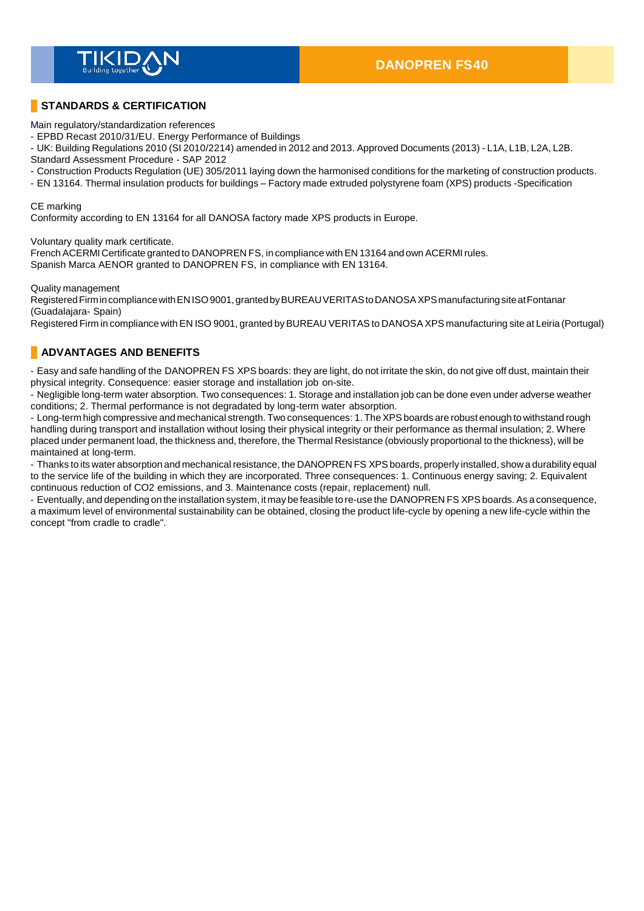

# **STANDARDS & CERTIFICATION**

Main regulatory/standardization references

- EPBD Recast 2010/31/EU. Energy Performance of Buildings

- UK: Building Regulations 2010 (SI 2010/2214) amended in 2012 and 2013. Approved Documents (2013) - L1A, L1B, L2A, L2B.

Standard Assessment Procedure - SAP 2012

- Construction Products Regulation (UE) 305/2011 laying down the harmonised conditions for the marketing of construction products.

- EN 13164. Thermal insulation products for buildings – Factory made extruded polystyrene foam (XPS) products -Specification

#### CE marking

Conformity according to EN 13164 for all DANOSA factory made XPS products in Europe.

Voluntary quality mark certificate.

French ACERMI Certificate granted to DANOPREN FS, in compliance with EN 13164 and own ACERMI rules. Spanish Marca AENOR granted to DANOPREN FS, in compliance with EN 13164.

Quality management

Registered Firm in compliance with ENISO 9001, granted by BUREAU VERITAS to DANOSA XPS manufacturing site at Fontanar (Guadalajara- Spain)

Registered Firm in compliance with EN ISO 9001, granted by BUREAU VERITAS to DANOSA XPS manufacturing site at Leiria (Portugal)

# **ADVANTAGES AND BENEFITS**

- Easy and safe handling of the DANOPREN FS XPS boards: they are light, do not irritate the skin, do not give off dust, maintain their physical integrity. Consequence: easier storage and installation job on-site.

- Negligible long-term water absorption. Two consequences: 1. Storage and installation job can be done even under adverse weather conditions; 2. Thermal performance is not degradated by long-term water absorption.

- Long-term high compressive and mechanical strength. Two consequences: 1. TheXPSboards are robust enough to withstand rough handling during transport and installation without losing their physical integrity or their performance as thermal insulation; 2. Where placed under permanent load, the thickness and, therefore, the Thermal Resistance (obviously proportional to the thickness), will be maintained at long-term.

- Thanks to its water absorption and mechanical resistance, the DANOPREN FS XPS boards, properly installed, show a durability equal to the service life of the building in which they are incorporated. Three consequences: 1. Continuous energy saving; 2. Equivalent continuous reduction of CO2 emissions, and 3. Maintenance costs (repair, replacement) null.

- Eventually, and depending on the installation system, it may be feasible to re-use the DANOPREN FS XPS boards. As a consequence, a maximum level of environmental sustainability can be obtained, closing the product life-cycle by opening a new life-cycle within the concept "from cradle to cradle".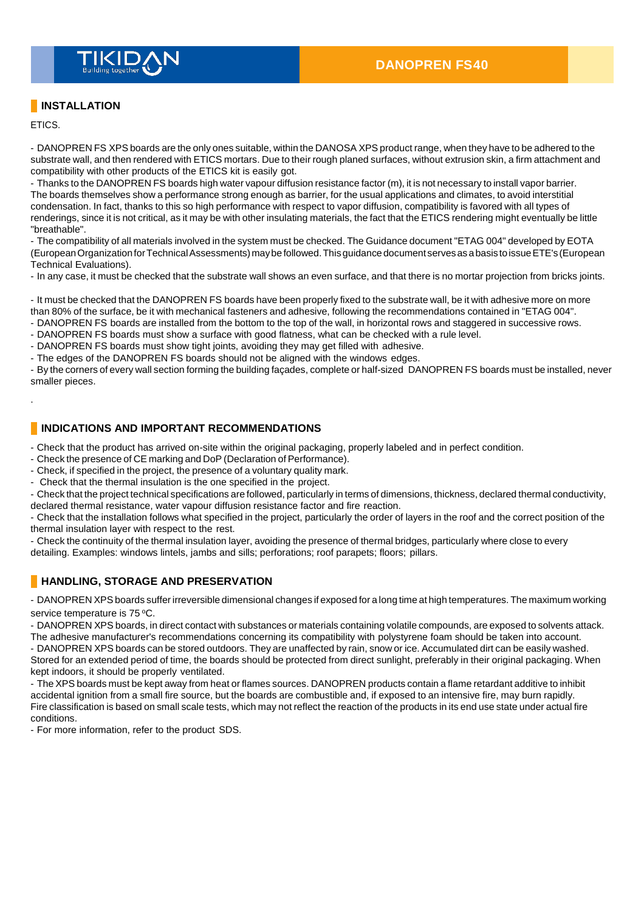

# **INSTALLATION**

ETICS.

.

- DANOPREN FS XPS boards are the only ones suitable, within the DANOSA XPS product range, when they have to be adhered to the substrate wall, and then rendered with ETICS mortars. Due to their rough planed surfaces, without extrusion skin, a firm attachment and compatibility with other products of the ETICS kit is easily got.

- Thanks to the DANOPREN FS boards high water vapour diffusion resistance factor (m), it is not necessary to install vapor barrier. The boards themselves show a performance strong enough as barrier, for the usual applications and climates, to avoid interstitial condensation. In fact, thanks to this so high performance with respect to vapor diffusion, compatibility is favored with all types of renderings, since it is not critical, as it may be with other insulating materials, the fact that the ETICS rendering might eventually be little "breathable".

- The compatibility of all materials involved in the system must be checked. The Guidance document "ETAG 004" developed by EOTA (EuropeanOrganizationforTechnicalAssessments)maybefollowed.Thisguidance documentservesas abasis toissueETE's (European Technical Evaluations).

- In any case, it must be checked that the substrate wall shows an even surface, and that there is no mortar projection from bricks joints.

- It must be checked that the DANOPREN FS boards have been properly fixed to the substrate wall, be it with adhesive more on more than 80% of the surface, be it with mechanical fasteners and adhesive, following the recommendations contained in "ETAG 004".

- DANOPREN FS boards are installed from the bottom to the top of the wall, in horizontal rows and staggered in successive rows.

- DANOPREN FS boards must show a surface with good flatness, what can be checked with a rule level.
- DANOPREN FS boards must show tight joints, avoiding they may get filled with adhesive.

- The edges of the DANOPREN FS boards should not be aligned with the windows edges.

- By the corners of every wall section forming the building façades, complete or half-sized DANOPREN FS boards must be installed, never smaller pieces.

### **INDICATIONS AND IMPORTANT RECOMMENDATIONS**

- Check that the product has arrived on-site within the original packaging, properly labeled and in perfect condition.

- Check the presence of CE marking and DoP (Declaration of Performance).
- Check, if specified in the project, the presence of a voluntary quality mark.
- Check that the thermal insulation is the one specified in the project.

- Check that the project technical specifications are followed, particularly in terms of dimensions, thickness, declared thermal conductivity, declared thermal resistance, water vapour diffusion resistance factor and fire reaction.

- Check that the installation follows what specified in the project, particularly the order of layers in the roof and the correct position of the thermal insulation layer with respect to the rest.

- Check the continuity of the thermal insulation layer, avoiding the presence of thermal bridges, particularly where close to every detailing. Examples: windows lintels, jambs and sills; perforations; roof parapets; floors; pillars.

## **HANDLING, STORAGE AND PRESERVATION**

- DANOPREN XPSboards suffer irreversible dimensional changes if exposed for a long time at high temperatures. The maximum working service temperature is 75 °C.

- DANOPREN XPS boards, in direct contact with substances or materials containing volatile compounds, are exposed to solvents attack. The adhesive manufacturer's recommendations concerning its compatibility with polystyrene foam should be taken into account.

- DANOPREN XPS boards can be stored outdoors. They are unaffected by rain, snow or ice. Accumulated dirt can be easily washed. Stored for an extended period of time, the boards should be protected from direct sunlight, preferably in their original packaging. When kept indoors, it should be properly ventilated.

- The XPS boards must be kept away from heat or flames sources. DANOPREN products contain a flame retardant additive to inhibit accidental ignition from a small fire source, but the boards are combustible and, if exposed to an intensive fire, may burn rapidly. Fire classification is based on small scale tests, which may not reflect the reaction of the products in its end use state under actual fire conditions.

- For more information, refer to the product SDS.